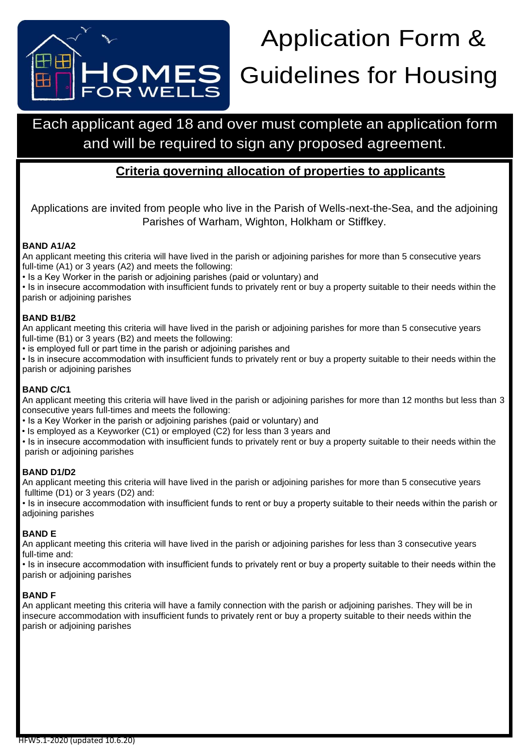

# Application Form & OMES Guidelines for Housing

# Each applicant aged 18 and over must complete an application form and will be required to sign any proposed agreement.

# **Criteria governing allocation of properties to applicants**

Applications are invited from people who live in the Parish of Wells-next-the-Sea, and the adjoining Parishes of Warham, Wighton, Holkham or Stiffkey.

#### **BAND A1/A2**

An applicant meeting this criteria will have lived in the parish or adjoining parishes for more than 5 consecutive years full-time (A1) or 3 years (A2) and meets the following:

• Is a Key Worker in the parish or adjoining parishes (paid or voluntary) and

• Is in insecure accommodation with insufficient funds to privately rent or buy a property suitable to their needs within the parish or adjoining parishes

#### **BAND B1/B2**

An applicant meeting this criteria will have lived in the parish or adjoining parishes for more than 5 consecutive years full-time (B1) or 3 years (B2) and meets the following:

• is employed full or part time in the parish or adjoining parishes and

• Is in insecure accommodation with insufficient funds to privately rent or buy a property suitable to their needs within the parish or adjoining parishes

#### **BAND C/C1**

An applicant meeting this criteria will have lived in the parish or adjoining parishes for more than 12 months but less than 3 consecutive years full-times and meets the following:

- Is a Key Worker in the parish or adjoining parishes (paid or voluntary) and
- Is employed as a Keyworker (C1) or employed (C2) for less than 3 years and

• Is in insecure accommodation with insufficient funds to privately rent or buy a property suitable to their needs within the parish or adjoining parishes

#### **BAND D1/D2**

An applicant meeting this criteria will have lived in the parish or adjoining parishes for more than 5 consecutive years fulltime (D1) or 3 years (D2) and:

• Is in insecure accommodation with insufficient funds to rent or buy a property suitable to their needs within the parish or adjoining parishes

#### **BAND E**

An applicant meeting this criteria will have lived in the parish or adjoining parishes for less than 3 consecutive years full-time and:

• Is in insecure accommodation with insufficient funds to privately rent or buy a property suitable to their needs within the parish or adjoining parishes

#### **BAND F**

An applicant meeting this criteria will have a family connection with the parish or adjoining parishes. They will be in insecure accommodation with insufficient funds to privately rent or buy a property suitable to their needs within the parish or adjoining parishes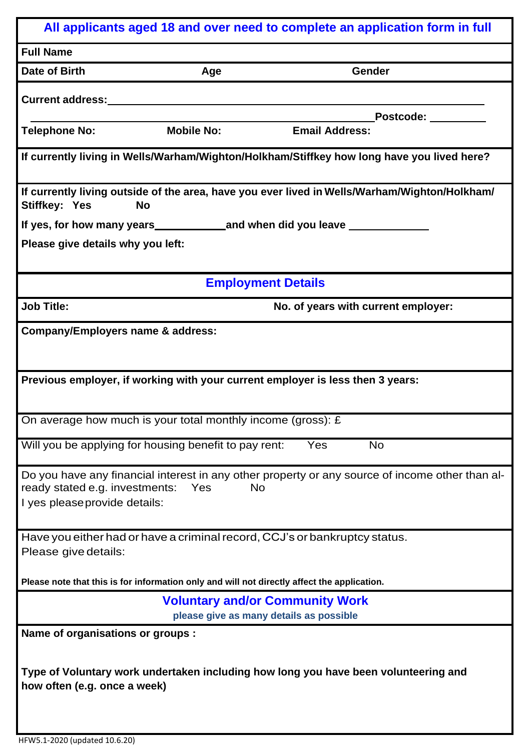| All applicants aged 18 and over need to complete an application form in full                                                                                                    |
|---------------------------------------------------------------------------------------------------------------------------------------------------------------------------------|
| <b>Full Name</b>                                                                                                                                                                |
| Date of Birth<br>Gender<br>Age                                                                                                                                                  |
| Current address:________                                                                                                                                                        |
| Postcode: _______                                                                                                                                                               |
| <b>Mobile No:</b><br><b>Email Address:</b><br><b>Telephone No:</b>                                                                                                              |
| If currently living in Wells/Warham/Wighton/Holkham/Stiffkey how long have you lived here?                                                                                      |
| If currently living outside of the area, have you ever lived in Wells/Warham/Wighton/Holkham/<br><b>Stiffkey: Yes</b><br><b>No</b>                                              |
|                                                                                                                                                                                 |
| Please give details why you left:                                                                                                                                               |
| <b>Employment Details</b>                                                                                                                                                       |
| <b>Job Title:</b><br>No. of years with current employer:                                                                                                                        |
| <b>Company/Employers name &amp; address:</b>                                                                                                                                    |
| Previous employer, if working with your current employer is less then 3 years:                                                                                                  |
| On average how much is your total monthly income (gross): $E$                                                                                                                   |
| <b>No</b><br>Will you be applying for housing benefit to pay rent:<br>Yes                                                                                                       |
| Do you have any financial interest in any other property or any source of income other than al-<br>ready stated e.g. investments:<br>Yes<br>No<br>I yes please provide details: |
| Have you either had or have a criminal record, CCJ's or bankruptcy status.<br>Please give details:                                                                              |
| Please note that this is for information only and will not directly affect the application.                                                                                     |
| <b>Voluntary and/or Community Work</b><br>please give as many details as possible                                                                                               |
| Name of organisations or groups :                                                                                                                                               |
| Type of Voluntary work undertaken including how long you have been volunteering and<br>how often (e.g. once a week)                                                             |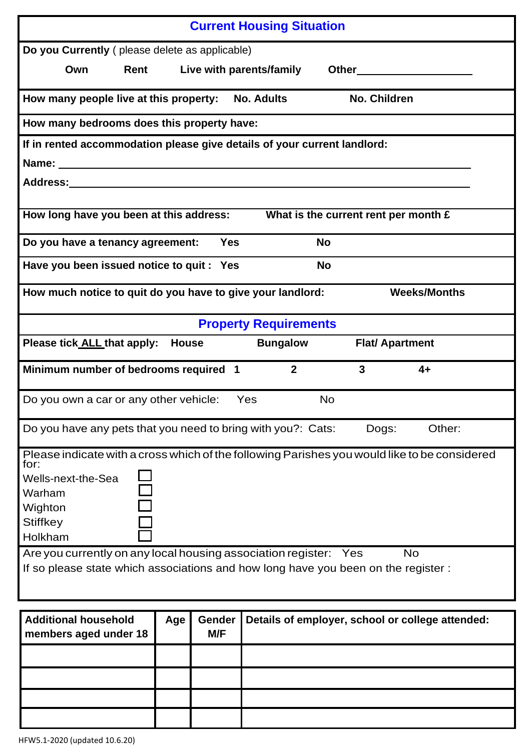| <b>Current Housing Situation</b>                                                                     |
|------------------------------------------------------------------------------------------------------|
|                                                                                                      |
| Do you Currently (please delete as applicable)                                                       |
| Rent Live with parents/family<br>Own<br><b>Other Community</b>                                       |
| No. Children<br>How many people live at this property:<br><b>No. Adults</b>                          |
| How many bedrooms does this property have:                                                           |
| If in rented accommodation please give details of your current landlord:                             |
|                                                                                                      |
| Address:________                                                                                     |
|                                                                                                      |
| How long have you been at this address:<br>What is the current rent per month £                      |
| <b>Yes</b><br><b>No</b><br>Do you have a tenancy agreement:                                          |
| Have you been issued notice to quit : Yes<br><b>No</b>                                               |
| <b>Weeks/Months</b><br>How much notice to quit do you have to give your landlord:                    |
| <b>Property Requirements</b>                                                                         |
| Please tick ALL that apply: House<br><b>Bungalow</b><br><b>Flat/ Apartment</b>                       |
| $\overline{2}$<br>3<br>Minimum number of bedrooms required 1<br>$4+$                                 |
| <b>No</b><br>Do you own a car or any other vehicle:<br>Yes                                           |
| Other:<br>Do you have any pets that you need to bring with you?: Cats:<br>Dogs:                      |
| Please indicate with a cross which of the following Parishes you would like to be considered<br>for: |
| Wells-next-the-Sea                                                                                   |
| Warham                                                                                               |
| Wighton                                                                                              |
| <b>Stiffkey</b>                                                                                      |
| Holkham                                                                                              |
| Are you currently on any local housing association register: Yes<br><b>No</b>                        |
| If so please state which associations and how long have you been on the register:                    |
|                                                                                                      |
| <b>Additional household</b><br>Gender<br>Age<br>Details of employer, school or college attended:     |
| M/F<br>members aged under 18                                                                         |
|                                                                                                      |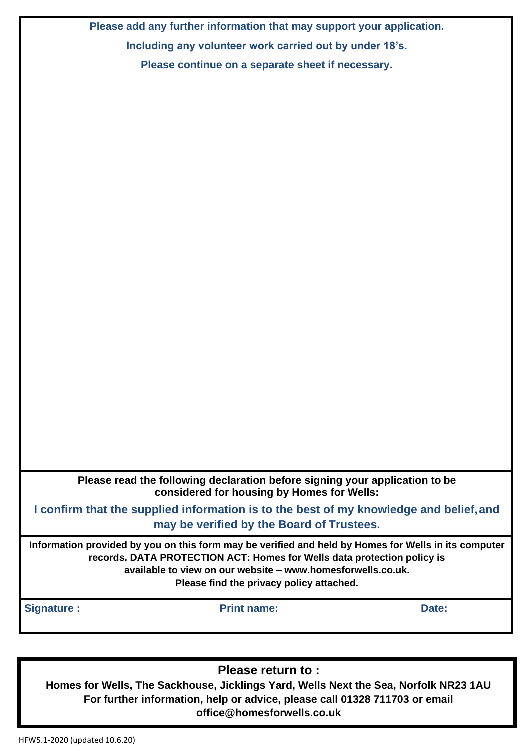**Please add any further information that may support your application. Including any volunteer work carried out by under 18's. Please continue on a separate sheet if necessary.**

**Please read the following declaration before signing your application to be considered for housing by Homes for Wells:**

**I confirm that the supplied information is to the best of my knowledge and belief,and may be verified by the Board of Trustees.**

**Information provided by you on this form may be verified and held by Homes for Wells in its computer records. DATA PROTECTION ACT: Homes for Wells data protection policy is available to view on our website – [www.homesforwells.co.uk.](http://www.homesforwells.co.uk/) Please find the privacy policy attached.**

**Signature : Print name: Date:**

**Please return to :**

**Homes for Wells, The Sackhouse, Jicklings Yard, Wells Next the Sea, Norfolk NR23 1AU For further information, help or advice, please call 01328 711703 or email [office@homesforwells.co.uk](mailto:office@homesforwells.co.uk)**